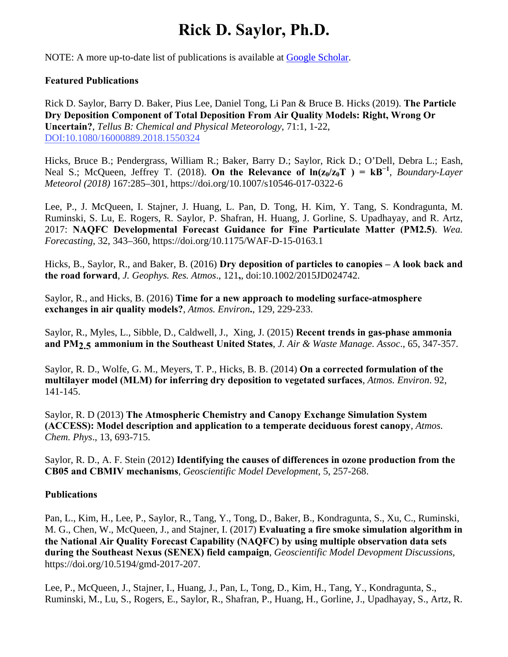## **Rick D. Saylor, Ph.D.**

NOTE: A more up-to-date list of publications is available at Google Scholar.

## **Featured Publications**

Rick D. Saylor, Barry D. Baker, Pius Lee, Daniel Tong, Li Pan & Bruce B. Hicks (2019). **The Particle Dry Deposition Component of Total Deposition From Air Quality Models: Right, Wrong Or Uncertain?**, *Tellus B: Chemical and Physical Meteorology*, 71:1, 1-22, [DOI:10.1080/16000889.2018.1550324](https://www.tandfonline.com/doi/full/10.1080/16000889.2018.1550324) 

Hicks, Bruce B.; Pendergrass, William R.; Baker, Barry D.; Saylor, Rick D.; O'Dell, Debra L.; Eash, Neal S.; McQueen, Jeffrey T. (2018). On the Relevance of  $\ln(z_0/z_0T) = kB^{-1}$ , *Boundary-Layer Meteorol (2018)* 167:285–301, https://doi.org/10.1007/s10546-017-0322-6

Lee, P., J. McQueen, I. Stajner, J. Huang, L. Pan, D. Tong, H. Kim, Y. Tang, S. Kondragunta, M. Ruminski, S. Lu, E. Rogers, R. Saylor, P. Shafran, H. Huang, J. Gorline, S. Upadhayay, and R. Artz, 2017: **NAQFC Developmental Forecast Guidance for Fine Particulate Matter (PM2.5)**. *Wea. Forecasting*, 32, 343–360, https://doi.org/10.1175/WAF-D-15-0163.1

Hicks, B., Saylor, R., and Baker, B. (2016) **Dry deposition of particles to canopies – A look back and the road forward**, *J. Geophys. Res. Atmos*., 121**,**, doi:10.1002/2015JD024742.

Saylor, R., and Hicks, B. (2016) **Time for a new approach to modeling surface-atmosphere exchanges in air quality models?**, *Atmos. Environ***.**, 129, 229-233.

Saylor, R., Myles, L., Sibble, D., Caldwell, J., Xing, J. (2015) **Recent trends in gas-phase ammonia and PM2.5 ammonium in the Southeast United States**, *J. Air & Waste Manage. Assoc*., 65, 347-357.

Saylor, R. D., Wolfe, G. M., Meyers, T. P., Hicks, B. B. (2014) **On a corrected formulation of the multilayer model (MLM) for inferring dry deposition to vegetated surfaces**, *Atmos. Environ*. 92, 141-145.

Saylor, R. D (2013) **The Atmospheric Chemistry and Canopy Exchange Simulation System (ACCESS): Model description and application to a temperate deciduous forest canopy**, *Atmos. Chem. Phys*., 13, 693-715.

Saylor, R. D., A. F. Stein (2012) **Identifying the causes of differences in ozone production from the CB05 and CBMIV mechanisms**, *Geoscientific Model Development*, 5, 257-268.

## **Publications**

Pan, L., Kim, H., Lee, P., Saylor, R., Tang, Y., Tong, D., Baker, B., Kondragunta, S., Xu, C., Ruminski, M. G., Chen, W., McQueen, J., and Stajner, I. (2017) **Evaluating a fire smoke simulation algorithm in the National Air Quality Forecast Capability (NAQFC) by using multiple observation data sets during the Southeast Nexus (SENEX) field campaign**, *Geoscientific Model Devopment Discussions*, https://doi.org/10.5194/gmd-2017-207.

Lee, P., McQueen, J., Stajner, I., Huang, J., Pan, L, Tong, D., Kim, H., Tang, Y., Kondragunta, S., Ruminski, M., Lu, S., Rogers, E., Saylor, R., Shafran, P., Huang, H., Gorline, J., Upadhayay, S., Artz, R.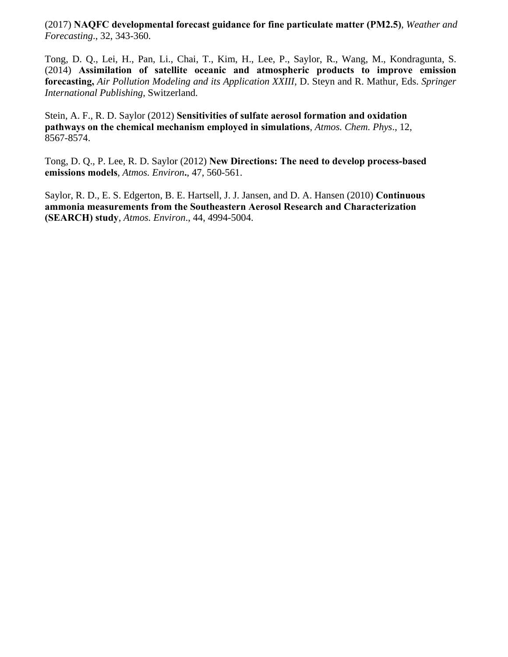(2017) **NAQFC developmental forecast guidance for fine particulate matter (PM2.5)**, *Weather and Forecasting*., 32, 343-360.

Tong, D. Q., Lei, H., Pan, Li., Chai, T., Kim, H., Lee, P., Saylor, R., Wang, M., Kondragunta, S. (2014) **Assimilation of satellite oceanic and atmospheric products to improve emission forecasting,** *Air Pollution Modeling and its Application XXIII*, D. Steyn and R. Mathur, Eds. *Springer International Publishing*, Switzerland.

Stein, A. F., R. D. Saylor (2012) **Sensitivities of sulfate aerosol formation and oxidation pathways on the chemical mechanism employed in simulations**, *Atmos. Chem. Phys*., 12, 8567-8574.

Tong, D. Q., P. Lee, R. D. Saylor (2012) **New Directions: The need to develop process-based emissions models**, *Atmos. Environ***.**, 47, 560-561.

Saylor, R. D., E. S. Edgerton, B. E. Hartsell, J. J. Jansen, and D. A. Hansen (2010) **Continuous ammonia measurements from the Southeastern Aerosol Research and Characterization (SEARCH) study**, *Atmos. Environ*., 44, 4994-5004.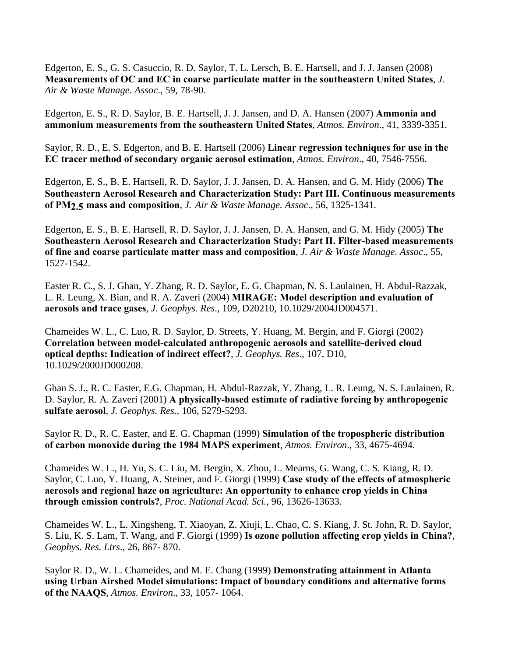Edgerton, E. S., G. S. Casuccio, R. D. Saylor, T. L. Lersch, B. E. Hartsell, and J. J. Jansen (2008) **Measurements of OC and EC in coarse particulate matter in the southeastern United States**, *J. Air & Waste Manage. Assoc*., 59, 78-90.

Edgerton, E. S., R. D. Saylor, B. E. Hartsell, J. J. Jansen, and D. A. Hansen (2007) **Ammonia and ammonium measurements from the southeastern United States**, *Atmos. Environ*., 41, 3339-3351.

Saylor, R. D., E. S. Edgerton, and B. E. Hartsell (2006) **Linear regression techniques for use in the EC tracer method of secondary organic aerosol estimation**, *Atmos. Environ*., 40, 7546-7556.

Edgerton, E. S., B. E. Hartsell, R. D. Saylor, J. J. Jansen, D. A. Hansen, and G. M. Hidy (2006) **The Southeastern Aerosol Research and Characterization Study: Part III. Continuous measurements of PM2.5 mass and composition**, *J. Air & Waste Manage. Assoc*., 56, 1325-1341.

Edgerton, E. S., B. E. Hartsell, R. D. Saylor, J. J. Jansen, D. A. Hansen, and G. M. Hidy (2005) **The Southeastern Aerosol Research and Characterization Study: Part II. Filter-based measurements of fine and coarse particulate matter mass and composition**, *J. Air & Waste Manage. Assoc*., 55, 1527-1542.

Easter R. C., S. J. Ghan, Y. Zhang, R. D. Saylor, E. G. Chapman, N. S. Laulainen, H. Abdul-Razzak, L. R. Leung, X. Bian, and R. A. Zaveri (2004) **MIRAGE: Model description and evaluation of aerosols and trace gases**, *J. Geophys. Res*., 109, D20210, 10.1029/2004JD004571.

Chameides W. L., C. Luo, R. D. Saylor, D. Streets, Y. Huang, M. Bergin, and F. Giorgi (2002) **Correlation between model-calculated anthropogenic aerosols and satellite-derived cloud optical depths: Indication of indirect effect?**, *J. Geophys. Res*., 107, D10, 10.1029/2000JD000208.

Ghan S. J., R. C. Easter, E.G. Chapman, H. Abdul-Razzak, Y. Zhang, L. R. Leung, N. S. Laulainen, R. D. Saylor, R. A. Zaveri (2001) **A physically-based estimate of radiative forcing by anthropogenic sulfate aerosol**, *J. Geophys. Res*., 106, 5279-5293.

Saylor R. D., R. C. Easter, and E. G. Chapman (1999) **Simulation of the tropospheric distribution of carbon monoxide during the 1984 MAPS experiment**, *Atmos. Environ*., 33, 4675-4694.

Chameides W. L., H. Yu, S. C. Liu, M. Bergin, X. Zhou, L. Mearns, G. Wang, C. S. Kiang, R. D. Saylor, C. Luo, Y. Huang, A. Steiner, and F. Giorgi (1999) **Case study of the effects of atmospheric aerosols and regional haze on agriculture: An opportunity to enhance crop yields in China through emission controls?**, *Proc. National Acad. Sci.*, 96, 13626-13633.

Chameides W. L., L. Xingsheng, T. Xiaoyan, Z. Xiuji, L. Chao, C. S. Kiang, J. St. John, R. D. Saylor, S. Liu, K. S. Lam, T. Wang, and F. Giorgi (1999) **Is ozone pollution affecting crop yields in China?**, *Geophys. Res. Ltrs*., 26, 867- 870.

Saylor R. D., W. L. Chameides, and M. E. Chang (1999) **Demonstrating attainment in Atlanta using Urban Airshed Model simulations: Impact of boundary conditions and alternative forms of the NAAQS**, *Atmos. Environ*., 33, 1057- 1064.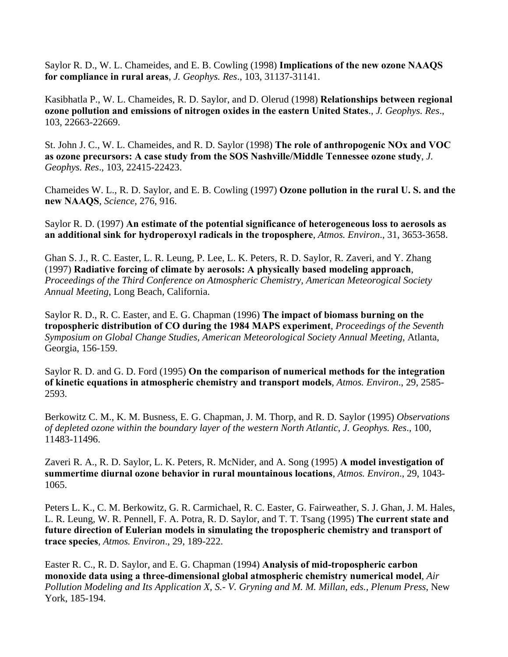Saylor R. D., W. L. Chameides, and E. B. Cowling (1998) **Implications of the new ozone NAAQS for compliance in rural areas**, *J. Geophys. Res*., 103, 31137-31141.

Kasibhatla P., W. L. Chameides, R. D. Saylor, and D. Olerud (1998) **Relationships between regional ozone pollution and emissions of nitrogen oxides in the eastern United States**., *J. Geophys. Res*., 103, 22663-22669.

St. John J. C., W. L. Chameides, and R. D. Saylor (1998) **The role of anthropogenic NOx and VOC as ozone precursors: A case study from the SOS Nashville/Middle Tennessee ozone study**, *J. Geophys. Res*., 103, 22415-22423.

Chameides W. L., R. D. Saylor, and E. B. Cowling (1997) **Ozone pollution in the rural U. S. and the new NAAQS**, *Science*, 276, 916.

Saylor R. D. (1997) **An estimate of the potential significance of heterogeneous loss to aerosols as an additional sink for hydroperoxyl radicals in the troposphere**, *Atmos. Environ*., 31, 3653-3658.

Ghan S. J., R. C. Easter, L. R. Leung, P. Lee, L. K. Peters, R. D. Saylor, R. Zaveri, and Y. Zhang (1997) **Radiative forcing of climate by aerosols: A physically based modeling approach**, *Proceedings of the Third Conference on Atmospheric Chemistry, American Meteorogical Society Annual Meeting*, Long Beach, California.

Saylor R. D., R. C. Easter, and E. G. Chapman (1996) **The impact of biomass burning on the tropospheric distribution of CO during the 1984 MAPS experiment**, *Proceedings of the Seventh Symposium on Global Change Studies, American Meteorological Society Annual Meeting*, Atlanta, Georgia, 156-159.

Saylor R. D. and G. D. Ford (1995) **On the comparison of numerical methods for the integration of kinetic equations in atmospheric chemistry and transport models**, *Atmos. Environ*., 29, 2585- 2593.

Berkowitz C. M., K. M. Busness, E. G. Chapman, J. M. Thorp, and R. D. Saylor (1995) *Observations of depleted ozone within the boundary layer of the western North Atlantic*, *J. Geophys. Res*., 100, 11483-11496.

Zaveri R. A., R. D. Saylor, L. K. Peters, R. McNider, and A. Song (1995) **A model investigation of summertime diurnal ozone behavior in rural mountainous locations**, *Atmos. Environ*., 29, 1043- 1065.

Peters L. K., C. M. Berkowitz, G. R. Carmichael, R. C. Easter, G. Fairweather, S. J. Ghan, J. M. Hales, L. R. Leung, W. R. Pennell, F. A. Potra, R. D. Saylor, and T. T. Tsang (1995) **The current state and future direction of Eulerian models in simulating the tropospheric chemistry and transport of trace species**, *Atmos. Environ*., 29, 189-222.

Easter R. C., R. D. Saylor, and E. G. Chapman (1994) **Analysis of mid-tropospheric carbon monoxide data using a three-dimensional global atmospheric chemistry numerical model**, *Air Pollution Modeling and Its Application X, S.- V. Gryning and M. M. Millan, eds., Plenum Press*, New York, 185-194.